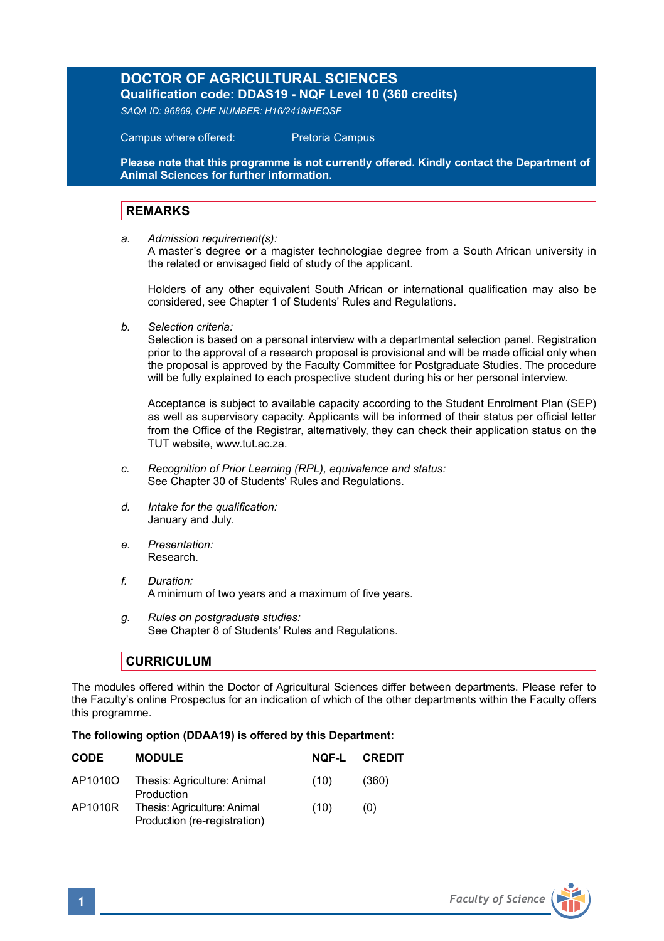## **DOCTOR OF AGRICULTURAL SCIENCES**

**Qualification code: DDAS19 - NQF Level 10 (360 credits)** 

*SAQA ID: 96869, CHE NUMBER: H16/2419/HEQSF* 

Campus where offered: Pretoria Campus

**Please note that this programme is not currently offered. Kindly contact the Department of Animal Sciences for further information.**

## **REMARKS**

*a. Admission requirement(s):*

A master's degree **or** a magister technologiae degree from a South African university in the related or envisaged field of study of the applicant.

Holders of any other equivalent South African or international qualification may also be considered, see Chapter 1 of Students' Rules and Regulations.

*b. Selection criteria:*

Selection is based on a personal interview with a departmental selection panel. Registration prior to the approval of a research proposal is provisional and will be made official only when the proposal is approved by the Faculty Committee for Postgraduate Studies. The procedure will be fully explained to each prospective student during his or her personal interview.

Acceptance is subject to available capacity according to the Student Enrolment Plan (SEP) as well as supervisory capacity. Applicants will be informed of their status per official letter from the Office of the Registrar, alternatively, they can check their application status on the TUT website, www.tut.ac.za.

- *c. Recognition of Prior Learning (RPL), equivalence and status:* See Chapter 30 of Students' Rules and Regulations.
- *d. Intake for the qualification:* January and July.
- *e. Presentation:* Research.
- *f. Duration:*  A minimum of two years and a maximum of five years.
- *g. Rules on postgraduate studies:* See Chapter 8 of Students' Rules and Regulations.

## **CURRICULUM**

The modules offered within the Doctor of Agricultural Sciences differ between departments. Please refer to the Faculty's online Prospectus for an indication of which of the other departments within the Faculty offers this programme.

## **The following option (DDAA19) is offered by this Department:**

| <b>CODE</b> | <b>MODULE</b>                                               | NOF-L | <b>CREDIT</b> |
|-------------|-------------------------------------------------------------|-------|---------------|
| AP1010O     | Thesis: Agriculture: Animal<br>Production                   | (10)  | (360)         |
| AP1010R     | Thesis: Agriculture: Animal<br>Production (re-registration) | (10)  | (0)           |
|             |                                                             |       |               |